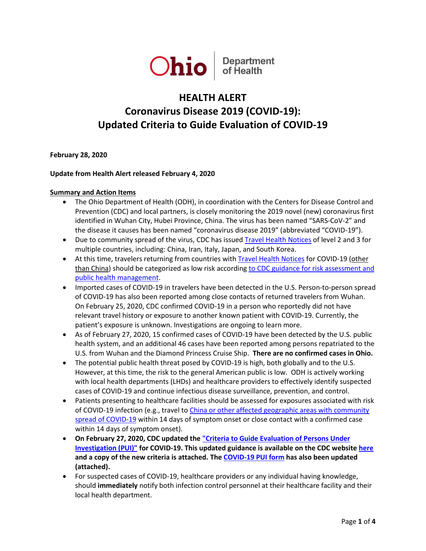

# **HEALTH ALERT Coronavirus Disease 2019 (COVID-19): Updated Criteria to Guide Evaluation of COVID-19**

**February 28, 2020**

# **Update from Health Alert released February 4, 2020**

### **Summary and Action Items**

- The Ohio Department of Health (ODH), in coordination with the Centers for Disease Control and Prevention (CDC) and local partners, is closely monitoring the 2019 novel (new) coronavirus first identified in Wuhan City, Hubei Province, China. The virus has been named "SARS-CoV-2" and the disease it causes has been named "coronavirus disease 2019" (abbreviated "COVID-19").
- Due to community spread of the virus, CDC has issued [Travel Health Notices](https://www.cdc.gov/coronavirus/2019-ncov/travelers/index.html) of level 2 and 3 for multiple countries, including: China, Iran, Italy, Japan, and South Korea.
- At this time, travelers returning from countries with [Travel Health Notices](https://www.cdc.gov/coronavirus/2019-ncov/travelers/index.html) for COVID-19 (other than China) should be categorized as low risk accordin[g to CDC guidance for risk assessment and](https://www.cdc.gov/coronavirus/2019-ncov/php/risk-assessment.html)  [public health management.](https://www.cdc.gov/coronavirus/2019-ncov/php/risk-assessment.html)
- Imported cases of COVID-19 in travelers have been detected in the U.S. Person-to-person spread of COVID-19 has also been reported among close contacts of returned travelers from Wuhan. On February 25, 2020, CDC confirmed COVID-19 in a person who reportedly did not have relevant travel history or exposure to another known patient with COVID-19. Currently, the patient's exposure is unknown. Investigations are ongoing to learn more.
- As of February 27, 2020, 15 confirmed cases of COVID-19 have been detected by the U.S. public health system, and an additional 46 cases have been reported among persons repatriated to the U.S. from Wuhan and the Diamond Princess Cruise Ship. **There are no confirmed cases in Ohio.**
- The potential public health threat posed by COVID-19 is high, both globally and to the U.S. However, at this time, the risk to the general American public is low. ODH is actively working with local health departments (LHDs) and healthcare providers to effectively identify suspected cases of COVID-19 and continue infectious disease surveillance, prevention, and control.
- Patients presenting to healthcare facilities should be assessed for exposures associated with risk of COVID-19 infection (e.g., travel t[o China or other affected geographic areas with community](https://www.cdc.gov/coronavirus/2019-ncov/travelers/index.html)  [spread of COVID-19](https://www.cdc.gov/coronavirus/2019-ncov/travelers/index.html) within 14 days of symptom onset or close contact with a confirmed case within 14 days of symptom onset).
- **On February 27, 2020, CDC updated the ["Criteria to Guide Evaluation of Persons Under](https://www.cdc.gov/coronavirus/2019-ncov/clinical-criteria.html)  [Investigation \(PUI\)"](https://www.cdc.gov/coronavirus/2019-ncov/clinical-criteria.html) for COVID-19. This updated guidance is available on the CDC websit[e here](https://www.cdc.gov/coronavirus/2019-nCoV/hcp/clinical-criteria.html) and a copy of the new criteria is attached. Th[e COVID-19 PUI form](https://www.cdc.gov/coronavirus/2019-ncov/downloads/pui-form.pdf) has also been updated (attached).**
- For suspected cases of COVID-19, healthcare providers or any individual having knowledge, should **immediately** notify both infection control personnel at their healthcare facility and their local health department.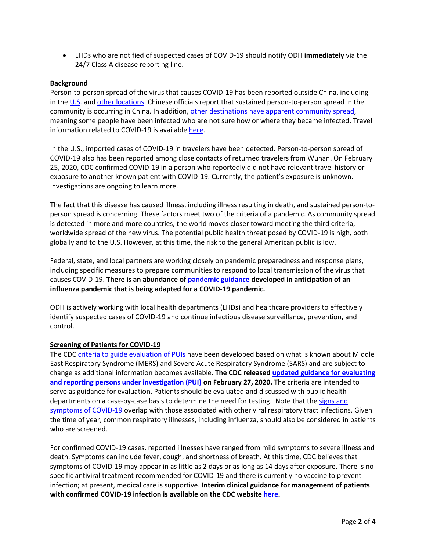• LHDs who are notified of suspected cases of COVID-19 should notify ODH **immediately** via the 24/7 Class A disease reporting line.

# **Background**

Person-to-person spread of the virus that causes COVID-19 has been reported outside China, including in the [U.S.](https://www.cdc.gov/coronavirus/2019-ncov/cases-in-us.html) an[d other locations.](https://www.cdc.gov/coronavirus/2019-ncov/locations-confirmed-cases.html#map) Chinese officials report that sustained person-to-person spread in the community is occurring in China. In addition, [other destinations have apparent community spread,](https://www.cdc.gov/coronavirus/2019-ncov/travelers/index.html) meaning some people have been infected who are not sure how or where they became infected. Travel information related to COVID-19 is availabl[e here.](https://www.cdc.gov/coronavirus/2019-ncov/travelers/index.html)

In the U.S., imported cases of COVID-19 in travelers have been detected. Person-to-person spread of COVID-19 also has been reported among close contacts of returned travelers from Wuhan. On February 25, 2020, CDC confirmed COVID-19 in a person who reportedly did not have relevant travel history or exposure to another known patient with COVID-19. Currently, the patient's exposure is unknown. Investigations are ongoing to learn more.

The fact that this disease has caused illness, including illness resulting in death, and sustained person-toperson spread is concerning. These factors meet two of the criteria of a pandemic. As community spread is detected in more and more countries, the world moves closer toward meeting the third criteria, worldwide spread of the new virus. The potential public health threat posed by COVID-19 is high, both globally and to the U.S. However, at this time, the risk to the general American public is low.

Federal, state, and local partners are working closely on pandemic preparedness and response plans, including specific measures to prepare communities to respond to local transmission of the virus that causes COVID-19. **There is an abundance of [pandemic guidance](https://www.cdc.gov/coronavirus/2019-ncov/php/pandemic-preparedness-resources.html) developed in anticipation of an influenza pandemic that is being adapted for a COVID-19 pandemic.**

ODH is actively working with local health departments (LHDs) and healthcare providers to effectively identify suspected cases of COVID-19 and continue infectious disease surveillance, prevention, and control.

### **Screening of Patients for COVID-19**

The CDC [criteria to guide evaluation of PUIs](https://www.cdc.gov/coronavirus/2019-ncov/clinical-criteria.html) have been developed based on what is known about Middle East Respiratory Syndrome (MERS) and Severe Acute Respiratory Syndrome (SARS) and are subject to change as additional information becomes available. **The CDC released [updated guidance for evaluating](https://www.cdc.gov/coronavirus/2019-nCoV/hcp/clinical-criteria.html)  [and reporting persons under investigation \(PUI\)](https://www.cdc.gov/coronavirus/2019-nCoV/hcp/clinical-criteria.html) on February 27, 2020.** The criteria are intended to serve as guidance for evaluation. Patients should be evaluated and discussed with public health departments on a case-by-case basis to determine the need for testing. Note that the signs and [symptoms of COVID-19](https://www.cdc.gov/coronavirus/2019-ncov/hcp/clinical-guidance-management-patients.html) overlap with those associated with other viral respiratory tract infections. Given the time of year, common respiratory illnesses, including influenza, should also be considered in patients who are screened.

For confirmed COVID-19 cases, reported illnesses have ranged from mild symptoms to severe illness and death. Symptoms can include fever, cough, and shortness of breath. At this time, CDC believes that symptoms of COVID-19 may appear in as little as 2 days or as long as 14 days after exposure. There is no specific antiviral treatment recommended for COVID-19 and there is currently no vaccine to prevent infection; at present, medical care is supportive. **Interim clinical guidance for management of patients with confirmed COVID-19 infection is available on the CDC website [here.](https://www.cdc.gov/coronavirus/2019-ncov/hcp/clinical-guidance-management-patients.html)**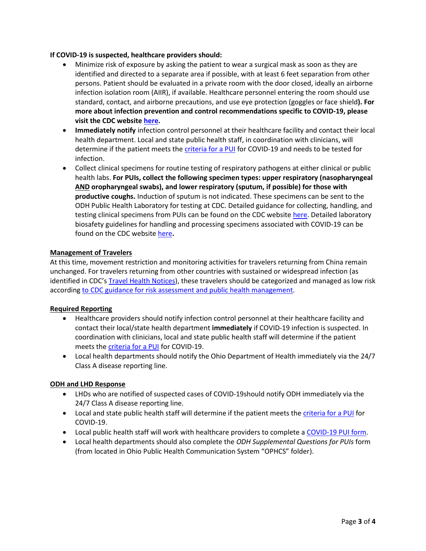## **If COVID-19 is suspected, healthcare providers should:**

- Minimize risk of exposure by asking the patient to wear a surgical mask as soon as they are identified and directed to a separate area if possible, with at least 6 feet separation from other persons. Patient should be evaluated in a private room with the door closed, ideally an airborne infection isolation room (AIIR), if available. Healthcare personnel entering the room should use standard, contact, and airborne precautions, and use eye protection (goggles or face shield**). For more about infection prevention and control recommendations specific to COVID-19, please visit the CDC website [here.](https://www.cdc.gov/coronavirus/2019-nCoV/hcp/infection-control.html)**
- **Immediately notify** infection control personnel at their healthcare facility and contact their local health department. Local and state public health staff, in coordination with clinicians, will determine if the patient meets the *[criteria for a PUI](https://www.cdc.gov/coronavirus/2019-ncov/clinical-criteria.html)* for COVID-19 and needs to be tested for infection.
- Collect clinical specimens for routine testing of respiratory pathogens at either clinical or public health labs. **For PUIs, collect the following specimen types: upper respiratory (nasopharyngeal AND oropharyngeal swabs), and lower respiratory (sputum, if possible) for those with productive coughs.** Induction of sputum is not indicated. These specimens can be sent to the ODH Public Health Laboratory for testing at CDC. Detailed guidance for collecting, handling, and testing clinical specimens from PUIs can be found on the CDC website [here.](https://www.cdc.gov/coronavirus/2019-nCoV/guidelines-clinical-specimens.html) Detailed laboratory biosafety guidelines for handling and processing specimens associated with COVID-19 can be found on the CDC website [here](https://www.cdc.gov/coronavirus/2019-nCoV/lab-biosafety-guidelines.html)**.**

## **Management of Travelers**

At this time, movement restriction and monitoring activities for travelers returning from China remain unchanged. For travelers returning from other countries with sustained or widespread infection (as identified in CDC's [Travel Health Notices\)](https://www.cdc.gov/coronavirus/2019-ncov/travelers/index.html), these travelers should be categorized and managed as low risk according [to CDC guidance for risk assessment and public health management.](https://www.cdc.gov/coronavirus/2019-ncov/php/risk-assessment.html)

# **Required Reporting**

- Healthcare providers should notify infection control personnel at their healthcare facility and contact their local/state health department **immediately** if COVID-19 infection is suspected. In coordination with clinicians, local and state public health staff will determine if the patient meets the [criteria for a PUI](https://www.cdc.gov/coronavirus/2019-ncov/clinical-criteria.html) for COVID-19.
- Local health departments should notify the Ohio Department of Health immediately via the 24/7 Class A disease reporting line.

### **ODH and LHD Response**

- LHDs who are notified of suspected cases of COVID-19should notify ODH immediately via the 24/7 Class A disease reporting line.
- Local and state public health staff will determine if the patient meets the [criteria for a PUI](https://www.cdc.gov/coronavirus/2019-ncov/clinical-criteria.html) for COVID-19.
- Local public health staff will work with healthcare providers to complete a [COVID-19 PUI form.](https://www.cdc.gov/coronavirus/2019-ncov/downloads/pui-form.pdf)
- Local health departments should also complete the *ODH Supplemental Questions for PUIs* form (from located in Ohio Public Health Communication System "OPHCS" folder).